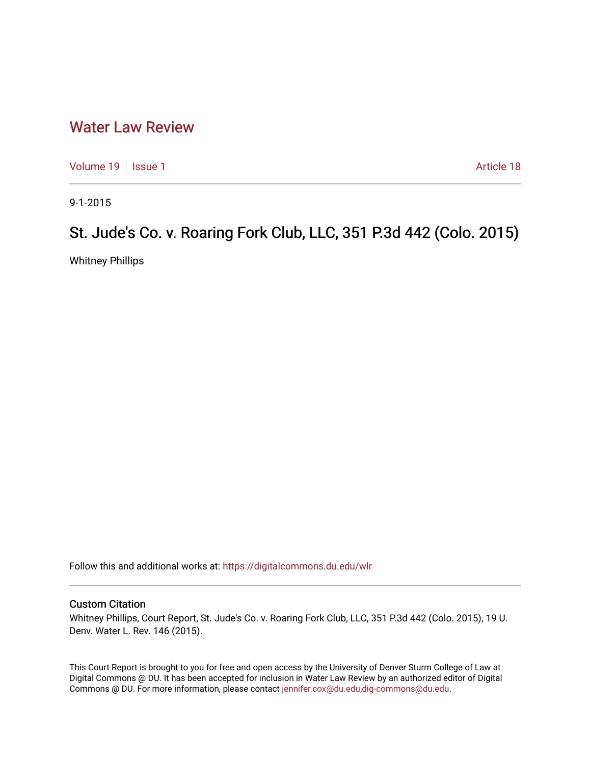## [Water Law Review](https://digitalcommons.du.edu/wlr)

[Volume 19](https://digitalcommons.du.edu/wlr/vol19) | [Issue 1](https://digitalcommons.du.edu/wlr/vol19/iss1) Article 18

9-1-2015

## St. Jude's Co. v. Roaring Fork Club, LLC, 351 P.3d 442 (Colo. 2015)

Whitney Phillips

Follow this and additional works at: [https://digitalcommons.du.edu/wlr](https://digitalcommons.du.edu/wlr?utm_source=digitalcommons.du.edu%2Fwlr%2Fvol19%2Fiss1%2F18&utm_medium=PDF&utm_campaign=PDFCoverPages) 

## Custom Citation

Whitney Phillips, Court Report, St. Jude's Co. v. Roaring Fork Club, LLC, 351 P.3d 442 (Colo. 2015), 19 U. Denv. Water L. Rev. 146 (2015).

This Court Report is brought to you for free and open access by the University of Denver Sturm College of Law at Digital Commons @ DU. It has been accepted for inclusion in Water Law Review by an authorized editor of Digital Commons @ DU. For more information, please contact [jennifer.cox@du.edu,dig-commons@du.edu.](mailto:jennifer.cox@du.edu,dig-commons@du.edu)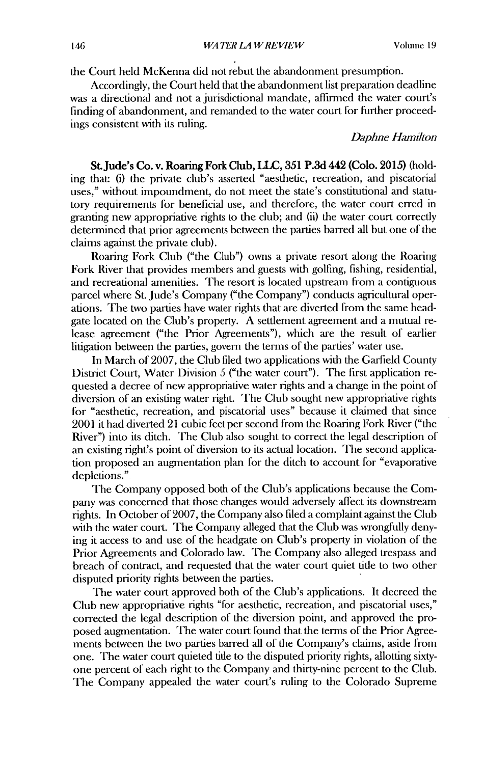the Court held McKenna **did** not rebut the abandonment presumption.

Accordingly, the Court held that the abandonment list preparation deadline was a directional and not a jurisdictional mandate, affirmed the water court's finding of abandonment, and remanded to the water court for further proceedings consistent with its ruling.

## *Daphne Harmilton*

St.Jude's Co. v. Roaring Fork Club, LLC, 351 P.3d 442 (Colo. 2015) (holding that: (i) the private club's asserted "aesthetic, recreation, and piscatorial uses," without impoundment, do not meet the state's constitutional and statutory requirements for beneficial use, and therefore, the water court erred in granting new appropriative rights to the club; and (ii) the water court correctly determined that prior agreements between the parties barred all but one of the claims against the private club).

Roaring Fork Club ("the Club") owns a private resort along the Roaring Fork River that provides members and guests with golfing, fishing, residential, and recreational amenities. The resort is located upstream from a contiguous parcel where St. Jude's Company ("the Company") conducts agricultural operations. The two parties have water rights that are diverted from the same headgate located on the Club's property. A settlement agreement and a mutual release agreement ("the Prior Agreements"), which are the result of earlier litigation between the parties, govern the terms of the parties' water use.

In March of 2007, the Club filed two applications with the Garfield County District Court, Water Division 5 ("the water court"). The first application requested a decree of new appropiative water rights and a change in the point of diversion of an existing water right. The Club sought new appropriative rights for "aesthetic, recreation, and piscatorial uses" because it claimed that since 2001 it had diverted 21 cubic feet per second from the Roaring Fork River ("the River") into its ditch. The Club also sought to correct the legal description of an existing right's point of diversion to its actual location. The second application proposed an augmentation plan for the ditch to account for "evaporative depletions."

The Company opposed both of the Club's applications because the Company was concerned that those changes would adversely affect its downstream rights. In October of 2007, the Company also filed a complaint against the Club with the water court. The Company alleged that the Club was wrongfully denying it access to and use of the headgate on Club's property in violation of the Prior Agreements and Colorado law. The Company also alleged trespass and breach of contract, and requested that the water court quiet title to two other disputed priority rights between the parties.

The water court approved both of the Club's applications. It decreed the Club new appropriative rights "for aesthetic, recreation, and piscatorial uses," corrected the legal description of the diversion point, and approved the proposed augmentation. The water court found that the terms of the Prior Agreements between the two parties barred all of the Company's claims, aside from one. The water court quieted tide to the disputed priority rights, allotting sixtyone percent of each right to the Company and thirty-nine percent to the Club. The Company appealed the water court's ruling to the Colorado Supreme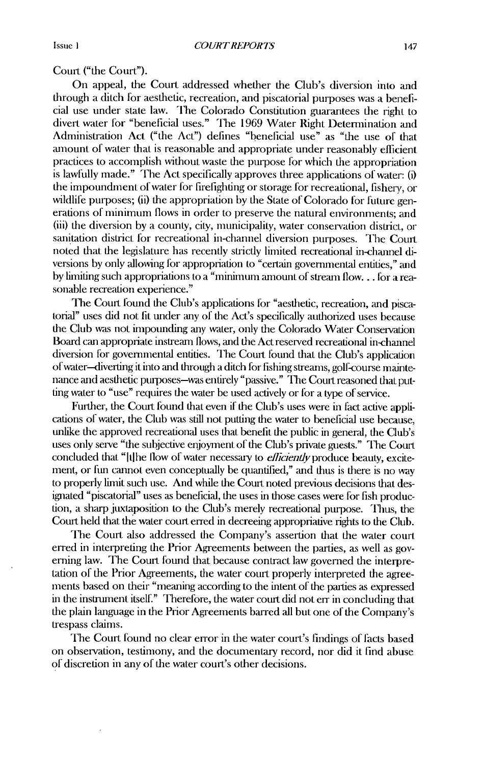Court ("the Court").

On appeal, the Court addressed whether the Club's diversion into and through a ditch for aesthetic, recreation, and piscatorial purposes was a beneficial use under state law. The Colorado Constitution guarantees the right to divert water for "beneficial uses." The 1969 Water Right Determination and Administration Act ("the Act") defines "beneficial use" as "the use of that amount of water that is reasonable and appropriate under reasonably efficient practices to accomplish without waste the purpose for which the appropriation is lawfully made." The Act specifically approves three applications of water: (i) the impoundment of water for firelighting or storage for recreational, fishery, or wildlife purposes; (ii) the appropriation by the State of Colorado for future generations of minimum flows in order to preserve the natural environments; and (iii) the diversion by a county, city, municipality, water conservation district, or sanitation district for recreational in-channel diversion purposes. The Court noted that the legislature has recently strictly limited recreational in-channel diversions by only allowing for appropriation to "certain governmental entities," and by limiting such appropriations to a "minimum amount of strean **flow...** lor a reasonable recreation experience."

The Court found the Club's applications for "aesthetic, recreation, and piscatorial" uses did not fit under any of the Act's specifically authorized uses because the Club was not impounding any water, only the Colorado Water Conservation Board can appropriate instream flows, and the Act reserved recreational in-channel diversion for governmental entities. The Court found that the Club's application of water-diverting it into and through a ditch for fishing streams, golf-course maintenance and aesthetic purposes-was entirely "passive." The Court reasoned that putting water to "use" requires the water be used actively or for a type of service.

Further, the Court found that even if the Club's uses were in fact active applications of water, the Club was still not putting the water to beneficial use because, unlike the approved recreational uses that benefit the public in general, the Club's uses only serve "the subjective enjoyment of the Club's private guests." The Court concluded that "[t] he flow of water necessary to *efficiently* produce beauty, excitement, or fun cannot even conceptually be quantified," and thus is there is no way to properly limit such use. And while the Court noted previous decisions that designated "piscatorial" uses as beneficial, the uses in those cases were for fish production, a sharp juxtaposition to the Club's merely recreational purpose. Thus, the Court held that the water court erred in decreeing appropriative rights to the Club.

The Court also addressed the Company's assertion that the water court erred in interpreting the Prior Agreements between the parties, as well as governing law. The Court found that because contract law governed the interpretation of the Prior Agreements, the water court properly interpreted the agreements based on their "meaning according to the intent of the parties as expressed in the instrument itself." Therefore, the water court did not err in concluding that the plain language in the Prior Agreements barred all but one of the Company's trespass claims.

The Court found no clear error in the water court's findings of facts based on observation, testimony, mad the documentary record, nor did it find abuse of discretion in any of the water court's other decisions.